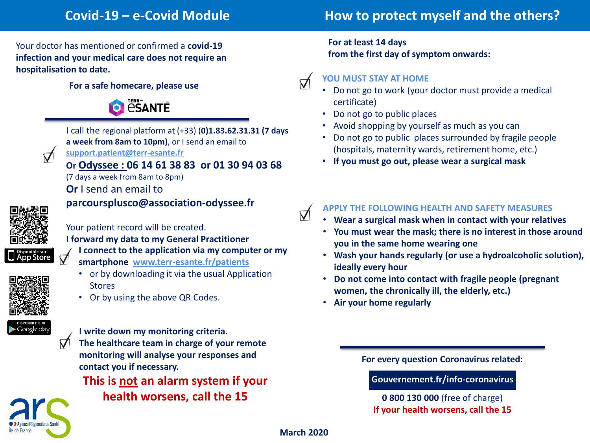# **Covid-19 – e-Covid Module How to protect myself and the others?**

Your doctor has mentioned or confirmed a **covid-19 infection and your medical care does not require an hospitalisation to date.**

#### **For a safe homecare, please use**





I call the regional platform at (+33) (**0)1.83.62.31.31 (7 days a week from 8am to 10pm)**, or I send an email to **support.patient@terr-esante.fr**

**Or Odyssee : 06 14 61 38 83 or 01 30 94 03 68**

(7 days a week from 8am to 8pm)

**Or** I send an email to

**parcoursplusco@association-odyssee.fr**



Your patient record will be created.

**I forward my data to my General Practitioner** 

**I connect to the application via my computer or my** 

- **smartphone www.terr-esante.fr/patients**
	- or by downloading it via the usual Application **Stores**
	- Or by using the above QR Codes.



**I write down my monitoring criteria.**

**The healthcare team in charge of your remote monitoring will analyse your responses and contact you if necessary.**

**This is not an alarm system if your** 

**health worsens, call the 15**

**For at least 14 days from the first day of symptom onwards:** 

### **YOU MUST STAY AT HOME**

 $\triangledown$ 

 $\triangledown$ 

- Do not go to work (your doctor must provide a medical certificate)
- Do not go to public places
- Avoid shopping by yourself as much as you can
- Do not go to public places surrounded by fragile people (hospitals, maternity wards, retirement home, etc.)
- **If you must go out, please wear a surgical mask**

## **APPLY THE FOLLOWING HEALTH AND SAFETY MEASURES**

- **Wear a surgical mask when in contact with your relatives**
- **You must wear the mask; there is no interest in those around you in the same home wearing one**
- **Wash your hands regularly (or use a hydroalcoholic solution), ideally every hour**
- **Do not come into contact with fragile people (pregnant women, the chronically ill, the elderly, etc.)**
- **Air your home regularly**

**For every question Coronavirus related:** 

**Gouvernement.fr/info-coronavirus**

**0 800 130 000** (free of charge) **If your health worsens, call the 15**